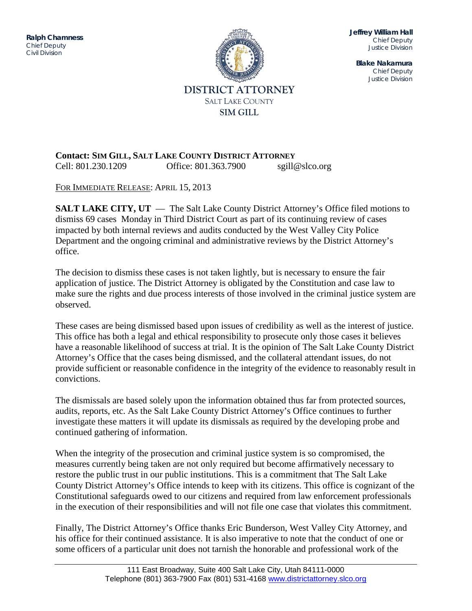ITENSISTEM DIVISION DIVISION DI SULTAN DI DIVISION DI DIVISION DI DIVISION DI DIVISION DI DIVISION DI DIVISION<br>Justice di Division di Division di Division di Division di Division di Division di Division di Division di Div **Ralph Chamness**  *Chief Deputy Civil Division*



**Jeffrey William Hall** *Chief Deputy Justice Division*

**Blake Nakamura** *Chief Deputy Justice Division*

## **Contact: SIM GILL, SALT LAKE COUNTY DISTRICT ATTORNEY** Cell: 801.230.1209 Office: 801.363.7900 sgill@slco.org

FOR IMMEDIATE RELEASE: APRIL 15, 2013

**SALT LAKE CITY, UT** — The Salt Lake County District Attorney's Office filed motions to dismiss 69 cases Monday in Third District Court as part of its continuing review of cases impacted by both internal reviews and audits conducted by the West Valley City Police Department and the ongoing criminal and administrative reviews by the District Attorney's office.

The decision to dismiss these cases is not taken lightly, but is necessary to ensure the fair application of justice. The District Attorney is obligated by the Constitution and case law to make sure the rights and due process interests of those involved in the criminal justice system are observed.

These cases are being dismissed based upon issues of credibility as well as the interest of justice. This office has both a legal and ethical responsibility to prosecute only those cases it believes have a reasonable likelihood of success at trial. It is the opinion of The Salt Lake County District Attorney's Office that the cases being dismissed, and the collateral attendant issues, do not provide sufficient or reasonable confidence in the integrity of the evidence to reasonably result in convictions.

The dismissals are based solely upon the information obtained thus far from protected sources, audits, reports, etc. As the Salt Lake County District Attorney's Office continues to further investigate these matters it will update its dismissals as required by the developing probe and continued gathering of information.

When the integrity of the prosecution and criminal justice system is so compromised, the measures currently being taken are not only required but become affirmatively necessary to restore the public trust in our public institutions. This is a commitment that The Salt Lake County District Attorney's Office intends to keep with its citizens. This office is cognizant of the Constitutional safeguards owed to our citizens and required from law enforcement professionals in the execution of their responsibilities and will not file one case that violates this commitment.

Finally, The District Attorney's Office thanks Eric Bunderson, West Valley City Attorney, and his office for their continued assistance. It is also imperative to note that the conduct of one or some officers of a particular unit does not tarnish the honorable and professional work of the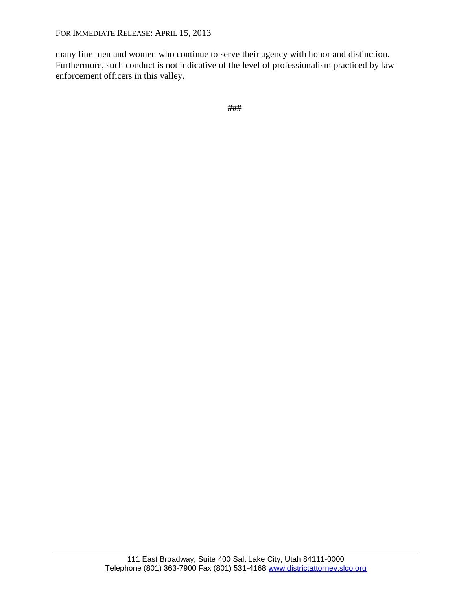FOR IMMEDIATE RELEASE: APRIL 15, 2013

many fine men and women who continue to serve their agency with honor and distinction. Furthermore, such conduct is not indicative of the level of professionalism practiced by law enforcement officers in this valley.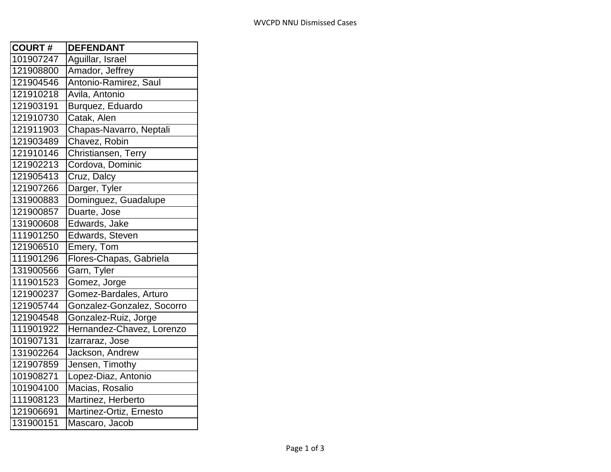| <b>COURT#</b> | <b>DEFENDANT</b>           |
|---------------|----------------------------|
| 101907247     | Aguillar, Israel           |
| 121908800     | Amador, Jeffrey            |
| 121904546     | Antonio-Ramirez, Saul      |
| 121910218     | Avila, Antonio             |
| 121903191     | Burquez, Eduardo           |
| 121910730     | Catak, Alen                |
| 121911903     | Chapas-Navarro, Neptali    |
| 121903489     | Chavez, Robin              |
| 121910146     | Christiansen, Terry        |
| 121902213     | Cordova, Dominic           |
| 121905413     | Cruz, Dalcy                |
| 121907266     | Darger, Tyler              |
| 131900883     | Dominguez, Guadalupe       |
| 121900857     | Duarte, Jose               |
| 131900608     | Edwards, Jake              |
| 111901250     | Edwards, Steven            |
| 121906510     | Emery, Tom                 |
| 111901296     | Flores-Chapas, Gabriela    |
| 131900566     | Garn, Tyler                |
| 111901523     | Gomez, Jorge               |
| 121900237     | Gomez-Bardales, Arturo     |
| 121905744     | Gonzalez-Gonzalez, Socorro |
| 121904548     | Gonzalez-Ruiz, Jorge       |
| 111901922     | Hernandez-Chavez, Lorenzo  |
| 101907131     | Izarraraz, Jose            |
| 131902264     | Jackson, Andrew            |
| 121907859     | Jensen, Timothy            |
| 101908271     | Lopez-Diaz, Antonio        |
| 101904100     | Macias, Rosalio            |
| 111908123     | Martinez, Herberto         |
| 121906691     | Martinez-Ortiz, Ernesto    |
| 131900151     | Mascaro, Jacob             |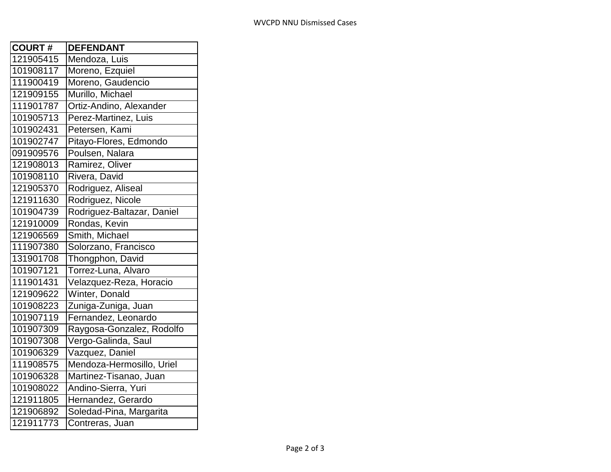| <b>COURT#</b> | <b>DEFENDANT</b>           |
|---------------|----------------------------|
| 121905415     | Mendoza, Luis              |
| 101908117     | Moreno, Ezquiel            |
| 111900419     | Moreno, Gaudencio          |
| 121909155     | Murillo, Michael           |
| 111901787     | Ortiz-Andino, Alexander    |
| 101905713     | Perez-Martinez, Luis       |
| 101902431     | Petersen, Kami             |
| 101902747     | Pitayo-Flores, Edmondo     |
| 091909576     | Poulsen, Nalara            |
| 121908013     | Ramirez, Oliver            |
| 101908110     | Rivera, David              |
| 121905370     | Rodriguez, Aliseal         |
| 121911630     | Rodriguez, Nicole          |
| 101904739     | Rodriguez-Baltazar, Daniel |
| 121910009     | Rondas, Kevin              |
| 121906569     | Smith, Michael             |
| 111907380     | Solorzano, Francisco       |
| 131901708     | Thongphon, David           |
| 101907121     | Torrez-Luna, Alvaro        |
| 111901431     | Velazquez-Reza, Horacio    |
| 121909622     | Winter, Donald             |
| 101908223     | Zuniga-Zuniga, Juan        |
| 101907119     | Fernandez, Leonardo        |
| 101907309     | Raygosa-Gonzalez, Rodolfo  |
| 101907308     | Vergo-Galinda, Saul        |
| 101906329     | Vazquez, Daniel            |
| 111908575     | Mendoza-Hermosillo, Uriel  |
| 101906328     | Martinez-Tisanao, Juan     |
| 101908022     | Andino-Sierra, Yuri        |
| 121911805     | Hernandez, Gerardo         |
| 121906892     | Soledad-Pina, Margarita    |
| 121911773     | Contreras, Juan            |